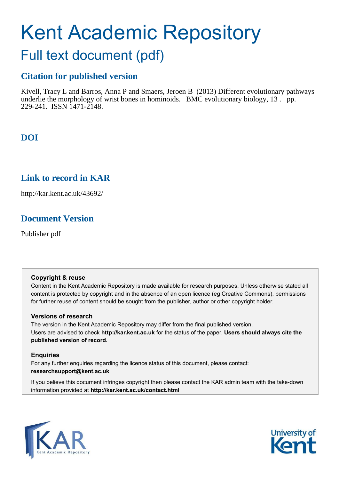# Kent Academic Repository

# Full text document (pdf)

## **Citation for published version**

Kivell, Tracy L and Barros, Anna P and Smaers, Jeroen B (2013) Different evolutionary pathways underlie the morphology of wrist bones in hominoids. BMC evolutionary biology,  $13 \cdot$  pp. 229-241. ISSN 1471-2148.

## **DOI**

## **Link to record in KAR**

http://kar.kent.ac.uk/43692/

## **Document Version**

Publisher pdf

#### **Copyright & reuse**

Content in the Kent Academic Repository is made available for research purposes. Unless otherwise stated all content is protected by copyright and in the absence of an open licence (eg Creative Commons), permissions for further reuse of content should be sought from the publisher, author or other copyright holder.

#### **Versions of research**

The version in the Kent Academic Repository may differ from the final published version. Users are advised to check **http://kar.kent.ac.uk** for the status of the paper. **Users should always cite the published version of record.**

#### **Enquiries**

For any further enquiries regarding the licence status of this document, please contact: **researchsupport@kent.ac.uk**

If you believe this document infringes copyright then please contact the KAR admin team with the take-down information provided at **http://kar.kent.ac.uk/contact.html**



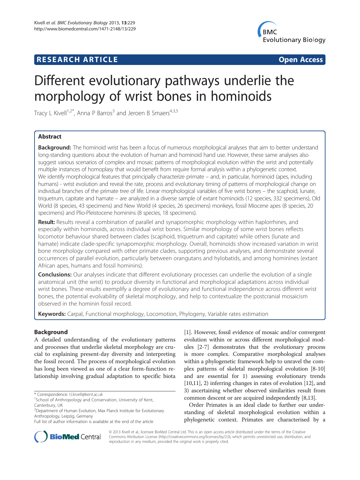### <span id="page-1-0"></span>**RESEARCH ARTICLE Example 2018 12:00 Service Community Community Community Community Community Community Community**



# Different evolutionary pathways underlie the morphology of wrist bones in hominoids

Tracy L Kivell<sup>1,2\*</sup>, Anna P Barros<sup>3</sup> and Jeroen B Smaers<sup>4,3,5</sup>

#### Abstract

Background: The hominoid wrist has been a focus of numerous morphological analyses that aim to better understand long-standing questions about the evolution of human and hominoid hand use. However, these same analyses also suggest various scenarios of complex and mosaic patterns of morphological evolution within the wrist and potentially multiple instances of homoplasy that would benefit from require formal analysis within a phylogenetic context. We identify morphological features that principally characterize primate – and, in particular, hominoid (apes, including humans) - wrist evolution and reveal the rate, process and evolutionary timing of patterns of morphological change on individual branches of the primate tree of life. Linear morphological variables of five wrist bones – the scaphoid, lunate, triquetrum, capitate and hamate – are analyzed in a diverse sample of extant hominoids (12 species, 332 specimens), Old World (8 species, 43 specimens) and New World (4 species, 26 specimens) monkeys, fossil Miocene apes (8 species, 20 specimens) and Plio-Pleistocene hominins (8 species, 18 specimens).

Result: Results reveal a combination of parallel and synapomorphic morphology within haplorrhines, and especially within hominoids, across individual wrist bones. Similar morphology of some wrist bones reflects locomotor behaviour shared between clades (scaphoid, triquetrum and capitate) while others (lunate and hamate) indicate clade-specific synapomorphic morphology. Overall, hominoids show increased variation in wrist bone morphology compared with other primate clades, supporting previous analyses, and demonstrate several occurrences of parallel evolution, particularly between orangutans and hylobatids, and among hominines (extant African apes, humans and fossil hominins).

Conclusions: Our analyses indicate that different evolutionary processes can underlie the evolution of a single anatomical unit (the wrist) to produce diversity in functional and morphological adaptations across individual wrist bones. These results exemplify a degree of evolutionary and functional independence across different wrist bones, the potential evolvability of skeletal morphology, and help to contextualize the postcranial mosaicism observed in the hominin fossil record.

Keywords: Carpal, Functional morphology, Locomotion, Phylogeny, Variable rates estimation

#### Background

A detailed understanding of the evolutionary patterns and processes that underlie skeletal morphology are crucial to explaining present-day diversity and interpreting the fossil record. The process of morphological evolution has long been viewed as one of a clear form-function relationship involving gradual adaptation to specific biota

[[1\]](#page-9-0). However, fossil evidence of mosaic and/or convergent evolution within or across different morphological modules [[2-7\]](#page-9-0) demonstrates that the evolutionary process is more complex. Comparative morphological analyses within a phylogenetic framework help to unravel the complex patterns of skeletal morphological evolution [\[8](#page-9-0)-[10](#page-9-0)] and are essential for 1) assessing evolutionary trends [[10](#page-9-0),[11](#page-9-0)], 2) inferring changes in rates of evolution [\[12\]](#page-9-0), and 3) ascertaining whether observed similarities result from common descent or are acquired independently [\[8,13\]](#page-9-0).

Order Primates is an ideal clade to further our understanding of skeletal morphological evolution within a phylogenetic context. Primates are characterised by a



© 2013 Kivell et al.; licensee BioMed Central Ltd. This is an open access article distributed under the terms of the Creative Commons Attribution License [\(http://creativecommons.org/licenses/by/2.0\)](http://creativecommons.org/licenses/by/2.0), which permits unrestricted use, distribution, and reproduction in any medium, provided the original work is properly cited.

<sup>\*</sup> Correspondence: [t.l.kivell@kent.ac.uk](mailto:t.l.kivell@kent.ac.uk)

<sup>&</sup>lt;sup>1</sup>School of Anthropology and Conservation, University of Kent, Canterbury, UK

<sup>&</sup>lt;sup>2</sup>Department of Human Evolution, Max Planck Institute for Evolutionary Anthropology, Leipzig, Germany

Full list of author information is available at the end of the article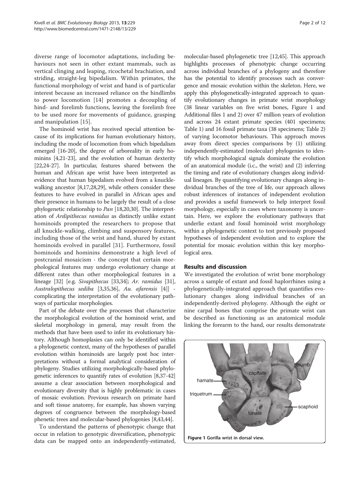<span id="page-2-0"></span>diverse range of locomotor adaptations, including behaviours not seen in other extant mammals, such as vertical clinging and leaping, ricochetal brachiation, and striding, straight-leg bipedalism. Within primates, the functional morphology of wrist and hand is of particular interest because an increased reliance on the hindlimbs to power locomotion [[14\]](#page-9-0) promotes a decoupling of hind- and forelimb functions, leaving the forelimb free to be used more for movements of guidance, grasping and manipulation [\[15](#page-9-0)].

The hominoid wrist has received special attention because of its implications for human evolutionary history, including the mode of locomotion from which bipedalism emerged [\[16-20\]](#page-9-0), the degree of arboreality in early hominins [[4,21](#page-9-0)-[23](#page-10-0)], and the evolution of human dexterity [[22,24](#page-10-0)-[27](#page-10-0)]. In particular, features shared between the human and African ape wrist have been interpreted as evidence that human bipedalism evolved from a knucklewalking ancestor [\[8,17,](#page-9-0)[28,29\]](#page-10-0), while others consider these features to have evolved in parallel in African apes and their presence in humans to be largely the result of a close phylogenetic relationship to Pan [[18,20,](#page-9-0)[30\]](#page-10-0). The interpretation of Ardipithecus ramidus as distinctly unlike extant hominoids prompted the researchers to propose that all knuckle-walking, climbing and suspensory features, including those of the wrist and hand, shared by extant hominoids evolved in parallel [\[31](#page-10-0)]. Furthermore, fossil hominoids and hominins demonstrate a high level of postcranial mosaicism - the concept that certain morphological features may undergo evolutionary change at different rates than other morphological features in a lineage [\[32\]](#page-10-0) [e.g. Sivapithecus [\[33,34](#page-10-0)]; Ar. ramidus [[31](#page-10-0)], Australopithecus sediba [[3](#page-9-0)[,35,36\]](#page-10-0), Au. afarensis [[4](#page-9-0)]] complicating the interpretation of the evolutionary pathways of particular morphologies.

Part of the debate over the processes that characterize the morphological evolution of the hominoid wrist, and skeletal morphology in general, may result from the methods that have been used to infer its evolutionary history. Although homoplasies can only be identified within a phylogenetic context, many of the hypotheses of parallel evolution within hominoids are largely post hoc interpretations without a formal analytical consideration of phylogeny. Studies utilizing morphologically-based phylogenetic inferences to quantify rates of evolution [[8,](#page-9-0)[37](#page-10-0)-[42](#page-10-0)] assume a clear association between morphological and evolutionary diversity that is highly problematic in cases of mosaic evolution. Previous research on primate hard and soft tissue anatomy, for example, has shown varying degrees of congruence between the morphology-based phenetic trees and molecular-based phylogenies [\[8,](#page-9-0)[43](#page-10-0),[44](#page-10-0)].

To understand the patterns of phenotypic change that occur in relation to genotypic diversification, phenotypic data can be mapped onto an independently-estimated,

molecular-based phylogenetic tree [\[12,](#page-9-0)[45](#page-10-0)]. This approach highlights processes of phenotypic change occurring across individual branches of a phylogeny and therefore has the potential to identify processes such as convergence and mosaic evolution within the skeleton. Here, we apply this phylogenetically-integrated approach to quantify evolutionary changes in primate wrist morphology (38 linear variables on five wrist bones, Figure [1](#page-1-0) and Additional files [1](#page-9-0) and [2](#page-9-0)) over 47 million years of evolution and across 24 extant primate species (401 specimens; Table 1) and 16 fossil primate taxa (38 specimens; Table [2](#page-3-0)) of varying locomotor behaviours. This approach moves away from direct species comparisons by (1) utilizing independently-estimated (molecular) phylogenies to identify which morphological signals dominate the evolution of an anatomical module (i.c., the wrist) and (2) inferring the timing and rate of evolutionary changes along individual lineages. By quantifying evolutionary changes along individual branches of the tree of life, our approach allows robust inferences of instances of independent evolution and provides a useful framework to help interpret fossil morphology, especially in cases where taxonomy is uncertain. Here, we explore the evolutionary pathways that underlie extant and fossil hominoid wrist morphology within a phylogenetic context to test previously proposed hypotheses of independent evolution and to explore the potential for mosaic evolution within this key morphological area.

#### Results and discussion

We investigated the evolution of wrist bone morphology across a sample of extant and fossil haplorrhines using a phylogenetically-integrated approach that quantifies evolutionary changes along individual branches of an independently-derived phylogeny. Although the eight or nine carpal bones that comprise the primate wrist can be described as functioning as an anatomical module linking the forearm to the hand, our results demonstrate

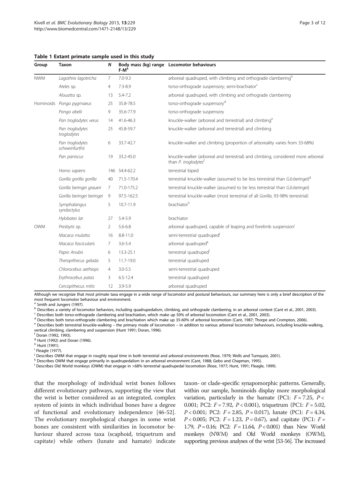<span id="page-3-0"></span>

|  |  | Table 1 Extant primate sample used in this study |  |  |  |  |  |
|--|--|--------------------------------------------------|--|--|--|--|--|
|--|--|--------------------------------------------------|--|--|--|--|--|

| Group      | <b>Taxon</b>                      | N              | $F-Ma$       | Body mass (kg) range Locomotor behaviours                                                                            |
|------------|-----------------------------------|----------------|--------------|----------------------------------------------------------------------------------------------------------------------|
| <b>NWM</b> | Lagothrix lagotricha              | 7              | $7.0 - 9.3$  | arboreal quadruped, with climbing and orthograde clambering <sup>b</sup>                                             |
|            | Ateles sp.                        | 4              | $7.3 - 8.9$  | torso-orthograde suspensory; semi-brachiator <sup>c</sup>                                                            |
|            | Alouatta sp.                      | 13             | $5.4 - 7.2$  | arboreal quadruped, with climbing and orthograde clambering                                                          |
| Hominoids  | Pongo pygmaeus                    | 25             | 35.8-78.5    | torso-orthograde suspensory <sup>d</sup>                                                                             |
|            | Pongo abelii                      | 9              | 35.6-77.9    | torso-orthograde suspensory                                                                                          |
|            | Pan troglodytes verus             | 14             | 41.6-46.3    | knuckle-walker (arboreal and terrestrial) and climbing <sup>e</sup>                                                  |
|            | Pan troglodytes<br>troglodytes    | 25             | 45.8-59.7    | knuckle-walker (arboreal and terrestrial) and climbing                                                               |
|            | Pan troglodytes<br>schweinfurthii | 6              | 33.7-42.7    | knuckle-walker and climbing (proportion of arboreality varies from 33-68%)                                           |
|            | Pan paniscus                      | 19             | 33.2-45.0    | knuckle-walker (arboreal and terrestrial) and climbing, considered more arboreal<br>than P. troglodytes <sup>t</sup> |
|            | Homo sapiens                      | 146            | 54.4-62.2    | terrestrial biped                                                                                                    |
|            | Gorilla gorilla gorilla           | 40             | 71.5-170.4   | terrestrial knuckle-walker (assumed to be less terrestrial than G.b.beringei) <sup>9</sup>                           |
|            | Gorilla beringei graueri          | 7              | 71.0-175.2   | terrestrial knuckle-walker (assumed to be less terrestrial than G.b.beringei)                                        |
|            | Gorilla beringei beringei         | 9              | 97.5-162.5   | terrestrial knuckle-walker (most terrestrial of all Gorilla, 93-98% terrestrial)                                     |
|            | Symphalangus<br>syndactylus       | 5              | 10.7-11.9    | brachiator <sup>h</sup>                                                                                              |
|            | Hylobates lar                     | 27             | 5.4-5.9      | brachiator                                                                                                           |
| <b>OWM</b> | Presbytis sp.                     | 2              | $5.6 - 6.8$  | arboreal quadruped, capable of leaping and forelimb suspension                                                       |
|            | Macaca mulatta                    | 16             | $8.8 - 11.0$ | semi-terrestrial quadruped <sup>1</sup>                                                                              |
|            | Macaca fascicularis               | 7              | $3.6 - 5.4$  | arboreal quadruped <sup>k</sup>                                                                                      |
|            | Papio Anubis                      | 6              | 13.3-25.1    | terrestrial quadruped                                                                                                |
|            | Theropithecus gelada              | 5              | 11.7-19.0    | terrestrial quadruped                                                                                                |
|            | Chlorocebus aethiops              | $\overline{4}$ | $3.0 - 5.5$  | semi-terrestrial quadruped                                                                                           |
|            | Erythrocebus patas                | 3              | $6.5 - 12.4$ | terrestrial quadruped                                                                                                |
|            | Cercopithecus mitis               | 12             | $3.9 - 5.9$  | arboreal quadruped                                                                                                   |

Although we recognize that most primate taxa engage in a wide range of locomotor and postural behaviours, our summary here is only a brief description of the most frequent locomotor behaviour and environment.

<sup>a</sup> Smith and Jungers (1997).

b Describes a variety of locomotor behaviors, including quadrupedalism, climbing, and orthograde clambering, in an arboreal context (Cant et al., 2001, 2003).

<sup>c</sup> Describes both torso-orthograde clambering and brachiation, which make up 50% of arboreal locomotion (Cant et al., 2001, 2003).

<sup>d</sup> Describes both torso-orthograde clambering and brachiation which make up 35-60% of arboreal locomotion (Cant, 1987; Thorpe and Crompton, 2006).

<sup>e</sup> Describes both terrestrial knuckle-walking – the primary mode of locomotion – in addition to various arboreal locomotor behaviours, including knuckle-walking, vertical climbing, clambering and suspension (Hunt 1991; Doran, 1996).

<sup>f</sup> Doran (1992, 1993).

<sup>9</sup> Hunt (1992) and Doran (1996).

<sup>h</sup> Hunt (1991).

<sup>i</sup> Fleagle (1977).

<sup>j</sup> Describes OWM that engage in roughly equal time in both terrestrial and arboreal environments (Rose, 1979; Wells and Turnquist, 2001).

k Describes OWM that engage primarily in quadrupedalism in an arboreal environment (Cant, 1988; Gebo and Chapman, 1995).

<sup>1</sup> Describes Old World monkeys (OWM) that engage in >68% terrestrial quadrupedal locomotion (Rose, 1977; Hunt, 1991; Fleagle, 1999).

that the morphology of individual wrist bones follows different evolutionary pathways, supporting the view that the wrist is better considered as an integrated, complex system of joints in which individual bones have a degree of functional and evolutionary independence [\[46-52](#page-10-0)]. The evolutionary morphological changes in some wrist bones are consistent with similarities in locomotor behaviour shared across taxa (scaphoid, triquetrum and capitate) while others (lunate and hamate) indicate

taxon- or clade-specific synapomorphic patterns. Generally, within our sample, hominoids display more morphological variation, particularly in the hamate (PC1:  $F = 7.25$ ,  $P <$ 0.001; PC2:  $F = 7.92$ ,  $P < 0.001$ ), triquetrum (PC1:  $F = 5.02$ ,  $P < 0.001$ ; PC2:  $F = 2.85$ ,  $P = 0.017$ ), lunate (PC1:  $F = 4.34$ ,  $P < 0.005$ ; PC2:  $F = 1.23$ ,  $P = 0.67$ ), and capitate (PC1:  $F =$ 1.79,  $P = 0.16$ ; PC2:  $F = 11.64$ ,  $P < 0.001$ ) than New World monkeys (NWM) and Old World monkeys (OWM), supporting previous analyses of the wrist [\[53-56\]](#page-10-0). The increased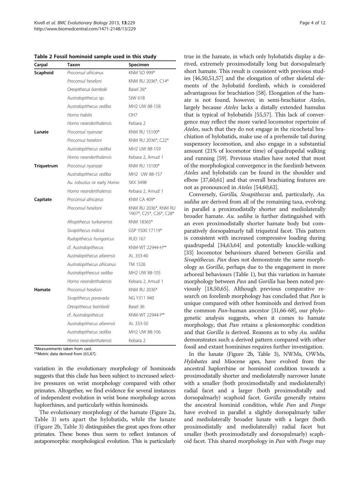Table 2 Fossil hominoid sample used in this study

| Carpal            | Taxon                      | Specimen                                        |
|-------------------|----------------------------|-------------------------------------------------|
| Scaphoid          | Proconsul africanus        | KNM SO 999*                                     |
|                   | Proconsul heseloni         | KNM RU 2036*, C14*                              |
|                   | Oreopithecus bambolii      | Basel 26*                                       |
|                   | Australopithecus sp.       | StW 618                                         |
|                   | Australopithecus sediba    | MH2 UW 88-158                                   |
|                   | Homo habilis               | OH <sub>7</sub>                                 |
|                   | Homo neanderthalensis      | Kebara 2                                        |
| Lunate            | Proconsul nyanzae          | KNM RU 15100*                                   |
|                   | Proconsul heseloni         | KNM RU 2036*, C22*                              |
|                   | Australopithecus sediba    | MH2 UW 88-159                                   |
|                   | Homo neanderthalensis      | Kebara 2, Amud 1                                |
| <b>Triquetrum</b> | Proconsul nyanzae          | KNM RU 15100*                                   |
|                   | Australopithecus sediba    | MH2 UW 88-157                                   |
|                   | Au. robustus or early Homo | <b>SKX 3498</b>                                 |
|                   | Homo neanderthalensis      | Kebara 2, Amud 1                                |
| Capitate          | Proconsul africanus        | <b>KNM CA 409*</b>                              |
|                   | Proconsul heseloni         | KNM RU 2036*, KNM RU<br>1907*, C25*, C26*, C28* |
|                   | Afropithecus turkanensis   | KNM 18365*                                      |
|                   | Sivapithecus indicus       | GSP Y500 17119*                                 |
|                   | Rudapithecus hungaricus    | <b>RUD 167</b>                                  |
|                   | cf. Australopithecus       | KNM-WT 22944-H**                                |
|                   | Australopithecus afarensis | AL 333-40                                       |
|                   | Australopithecus africanus | TM 1526                                         |
|                   | Australopithescus sediba   | MH <sub>2</sub> UW 88-105                       |
|                   | Homo neanderthalensis      | Kebara 2, Amud 1                                |
| Hamate            | Proconsul heseloni         | KNM RU 2036*                                    |
|                   | Sivapithecus paravada      | NG Y311 940                                     |
|                   | Oreopithecus bambolii      | Basel 36                                        |
|                   | cf. Australopithecus       | KNM-WT 22944-1**                                |
|                   | Australopithecus afarensis | AL 333-50                                       |
|                   | Australopithecus sediba    | MH2 UW 88-106                                   |
|                   | Homo neanderthalensis      | Kebara 2                                        |

\*Measurements taken from cast.

\*\*Metric data derived from [\[65](#page-9-0),[87\]](#page-11-0).

variation in the evolutionary morphology of hominoids suggests that this clade has been subject to increased selective pressures on wrist morphology compared with other primates. Altogether, we find evidence for several instances of independent evolution in wrist bone morphology across haplorrhines, and particularly within hominoids.

The evolutionary morphology of the hamate (Figure [2a](#page-5-0), Table [3](#page-6-0)) sets apart the hylobatids, while the lunate (Figure [2b](#page-5-0), Table [3](#page-6-0)) distinguishes the great apes from other primates. These bones thus seem to reflect instances of autapomorphic morphological evolution. This is particularly

true in the hamate, in which only hylobatids display a derived, extremely proximodistally long but dorsopalmarly short hamate. This result is consistent with previous studies [\[46,50,51,57\]](#page-10-0) and the elongation of other skeletal elements of the hylobatid forelimb, which is considered advantageous for brachiation [\[58\]](#page-10-0). Elongation of the hamate is not found, however, in semi-brachiator Ateles, largely because Ateles lacks a distally extended hamulus that is typical of hylobatids [\[55,57\]](#page-10-0). This lack of convergence may reflect the more varied locomotor repertoire of Ateles, such that they do not engage in the ricochetal brachiation of hylobatids, make use of a prehensile tail during suspensory locomotion, and also engage in a substantial amount (21% of locomotor time) of quadrupedal walking and running [\[59\]](#page-10-0). Previous studies have noted that most of the morphological convergence in the forelimb between Ateles and hylobatids can be found in the shoulder and elbow [\[37,60,61](#page-10-0)] and that overall brachiating features are not as pronounced in Ateles [\[54,60,62\]](#page-10-0).

Conversely, Gorilla, Sivapithecus and, particularly, Au. sediba are derived from all of the remaining taxa, evolving in parallel a proximodistally shorter and mediolaterally broader hamate. Au. sediba is further distinguished with an even proximodistally shorter hamate body but comparatively dorsopalmarly tall triquetral facet. This pattern is consistent with increased compressive loading during quadrupedal [\[34,63,64](#page-10-0)] and potentially knuckle-walking [[33](#page-10-0)] locomotor behaviours shared between Gorilla and Sivapithecus. Pan does not demonstrate the same morphology as Gorilla, perhaps due to the engagement in more arboreal behaviours (Table [1\)](#page-2-0), but this variation in hamate morphology between Pan and Gorilla has been noted previously [\[18,](#page-9-0)[50,65\]](#page-10-0). Although previous comparative research on forelimb morphology has concluded that Pan is unique compared with other hominoids and derived from the common Pan-human ancestor [\[31,66](#page-10-0)-[68\]](#page-10-0), our phylogenetic analysis suggests, when it comes to hamate morphology, that Pan retains a plesiomorphic condition and that Gorilla is derived. Reasons as to why Au. sediba demonstrates such a derived pattern compared with other fossil and extant hominines requires further investigation.

In the lunate (Figure [2b](#page-5-0), Table [3\)](#page-6-0), NWMs, OWMs, Hylobates and Miocene apes, have evolved from the ancestral haplorrhine or hominoid condition towards a proximodistally shorter and mediolaterally narrower lunate with a smaller (both proximodistally and mediolaterally) radial facet and a larger (both proximodistally and dorsopalmarly) scaphoid facet. Gorilla generally retains the ancestral hominid condition, while Pan and Pongo have evolved in parallel a slightly dorsopalmarly taller and mediolaterally broader lunate with a larger (both proximodistally and mediolaterally) radial facet but smaller (both proximodistally and dorsopalmarly) scaphoid facet. This shared morphology in Pan with Pongo may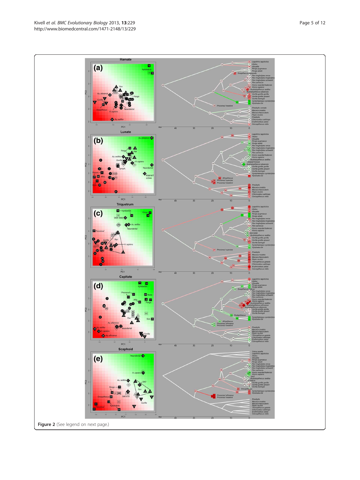Figure 2 (See legend on next page.)

PC1 Lunate  $(b)$ 126 m  $\overline{a}$ **de**  $PC1$ Triquetrum m  $(c)$ <sup>90</sup> Hz Á  $\bullet$ **CO**  $PC1$ Capitate  $(d)$ **Voce**  $\mathbf{a}$  $PC1$ Scaphoid  $(e)$ 

<span id="page-5-0"></span>

Hamate

œ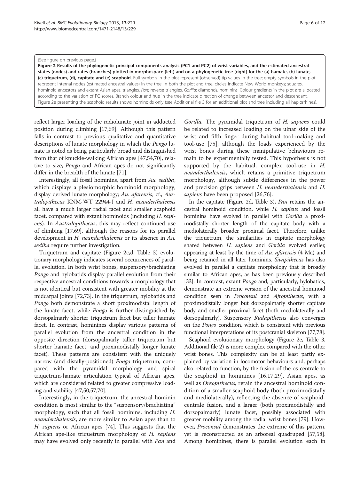#### <span id="page-6-0"></span>(See figure on previous page.)

Figure 2 Results of the phylogenetic principal components analysis (PC1 and PC2) of wrist variables, and the estimated ancestral states (nodes) and rates (branches) plotted in morphospace (left) and on a phylogenetic tree (right) for the (a) hamate, (b) lunate, (c) triquetrum, (d), capitate and (e) scaphoid. Full symbols in the plot represent (observed) tip values in the tree; empty symbols in the plot represent internal nodes (estimated ancestral values) in the tree. In both the plot and tree, circles indicate New World monkeys; squares, hominoid ancestors and extant Asian apes; triangles, Pan; reverse triangles, Gorilla; diamonds, hominins. Colour gradients in the plot are allocated according to the variation of PC scores. Branch colour and hue in the tree indicate direction of change between ancestor and descendant. Figure [2e](#page-5-0) presenting the scaphoid results shows hominoids only (see Additional file [3](#page-9-0) for an additional plot and tree including all haplorrhines).

reflect larger loading of the radiolunate joint in adducted position during climbing [\[17,](#page-9-0)[69](#page-10-0)]. Although this pattern falls in contrast to previous qualitative and quantitative descriptions of lunate morphology in which the Pongo lunate is noted as being particularly broad and distinguished from that of knuckle-walking African apes [\[47,54,70](#page-10-0)], relative to size, Pongo and African apes do not significantly differ in the breadth of the lunate [\[71\]](#page-10-0).

Interestingly, all fossil hominins, apart from Au. sediba, which displays a plesiomorphic hominoid morphology, display derived lunate morphology; Au. afarensis, cf., Australopithecus KNM-WT 22944-J and H. neanderthalensis all have a much larger radial facet and smaller scaphoid facet, compared with extant hominoids (including H. sapiens). In Australopithecus, this may reflect continued use of climbing [[17](#page-9-0),[69](#page-10-0)], although the reasons for its parallel development in H. neanderthalensis or its absence in Au. sediba require further investigation.

Triquetrum and capitate (Figure [2](#page-5-0)c,d, Table 3) evolutionary morphology indicates several occurrences of parallel evolution. In both wrist bones, suspensory/brachiating Pongo and hylobatids display parallel evolution from their respective ancestral conditions towards a morphology that is not identical but consistent with greater mobility at the midcarpal joints [\[72,73\]](#page-10-0). In the triquetrum, hylobatids and Pongo both demonstrate a short proximodistal length of the lunate facet, while Pongo is further distinguished by dorsopalmarly shorter triquetrum facet but taller hamate facet. In contrast, hominines display various patterns of parallel evolution from the ancestral condition in the opposite direction (dorsopalmarly taller triquetrum but shorter hamate facet, and proximodistally longer lunate facet). These patterns are consistent with the uniquely narrow (and distally-positioned) Pongo triquetrum, compared with the pyramidal morphology and spiral triquetrum-hamate articulation typical of African apes, which are considered related to greater compressive loading and stability [\[47,50,57,70\]](#page-10-0).

Interestingly, in the triquetrum, the ancestral hominin condition is most similar to the "suspensory/brachiating" morphology, such that all fossil hominins, including H. neanderthalensis, are more similar to Asian apes than to H. sapiens or African apes [\[74](#page-10-0)]. This suggests that the African ape-like triquetrum morphology of H. sapiens may have evolved only recently in parallel with Pan and

Gorilla. The pyramidal triquetrum of H. sapiens could be related to increased loading on the ulnar side of the wrist and fifth finger during habitual tool-making and tool-use [[75\]](#page-10-0), although the loads experienced by the wrist bones during these manipulative behaviours remain to be experimentally tested. This hypothesis is not supported by the habitual, complex tool-use in H. neanderthalensis, which retains a primitive triquetrum morphology, although subtle differences in the power and precision grips between H. neanderthalensis and H. sapiens have been proposed [[26](#page-10-0),[76](#page-10-0)].

In the capitate (Figure [2](#page-5-0)d, Table 3), Pan retains the ancestral hominoid condition, while H. sapiens and fossil hominins have evolved in parallel with Gorilla a proximodistally shorter length of the capitate body with a mediolaterally broader proximal facet. Therefore, unlike the triquetrum, the similarities in capitate morphology shared between H. sapiens and Gorilla evolved earlier, appearing at least by the time of Au. afarensis  $(4 \text{ Ma})$  and being retained in all later hominins. Sivapithecus has also evolved in parallel a capitate morphology that is broadly similar to African apes, as has been previously described [[33](#page-10-0)]. In contrast, extant *Pongo* and, particularly, hylobatids, demonstrate an extreme version of the ancestral hominoid condition seen in Proconsul and Afropithecus, with a proximodistally longer but dorsopalmarly shorter capitate body and smaller proximal facet (both mediolaterally and dorsopalmarly). Suspensory Rudapithecus also converges on the Pongo condition, which is consistent with previous functional interpretations of its postcranial skeleton [\[77,78](#page-10-0)].

Scaphoid evolutionary morphology (Figure [2e](#page-5-0), Table 3, Additional file [2\)](#page-9-0) is more complex compared with the other wrist bones. This complexity can be at least partly explained by variation in locomotor behaviours and, perhaps also related to function, by the fusion of the os centrale to the scaphoid in hominines [\[16](#page-9-0),[17,](#page-9-0)[29\]](#page-10-0). Asian apes, as well as Oreopithecus, retain the ancestral hominoid condition of a smaller scaphoid body (both proximodistally and mediolaterally), reflecting the absence of scaphoidcentrale fusion, and a larger (both proximodistally and dorsopalmarly) lunate facet, possibly associated with greater mobility among the radial wrist bones [[79](#page-10-0)]. However, Proconsul demonstrates the extreme of this pattern, yet is reconstructed as an arboreal quadruped [\[57,58](#page-10-0)]. Among hominines, there is parallel evolution each in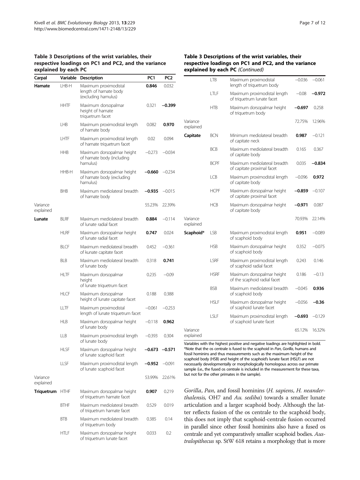#### Table 3 Descriptions of the wrist variables, their respective loadings on PC1 and PC2, and the variance explained by each PC

| Carpal                                                                                            | Variable                                                     | Description                                                           | PC1      | PC <sub>2</sub> |  |
|---------------------------------------------------------------------------------------------------|--------------------------------------------------------------|-----------------------------------------------------------------------|----------|-----------------|--|
| I HR-H<br>Hamate                                                                                  |                                                              | Maximum proximodistal<br>length of hamate body<br>(excluding hamulus) | 0.846    | 0.032           |  |
|                                                                                                   | <b>HHTF</b>                                                  | Maximum dorsopalmar<br>height of hamate<br>triquetrum facet           | 0.321    | -0.399          |  |
|                                                                                                   | LHB                                                          | Maximum proximodistal length<br>of hamate body                        | 0.082    | 0.970           |  |
| <b>I HTF</b><br>of hamate triquetrum facet<br><b>HHB</b><br>of hamate body (including<br>hamulus) |                                                              | Maximum proximodistal length                                          | 0.02     | 0.094           |  |
|                                                                                                   |                                                              | Maximum dorsopalmar height                                            | $-0.273$ | $-0.034$        |  |
|                                                                                                   | HHB-H                                                        | Maximum dorsopalmar height<br>of hamate body (excluding<br>hamulus)   | $-0.660$ | $-0.234$        |  |
|                                                                                                   | Maximum mediolateral breadth<br><b>BHB</b><br>of hamate body |                                                                       | $-0.935$ | $-0.015$        |  |
| Variance<br>explained                                                                             |                                                              |                                                                       | 55.23%   | 22.39%          |  |
| Lunate                                                                                            | <b>BLRF</b>                                                  | Maximum mediolateral breadth<br>of lunate radial facet                |          | $-0.114$        |  |
|                                                                                                   | <b>HLRF</b>                                                  | Maximum dorsopalmar height<br>of lunate radial facet                  | 0.747    | 0.024           |  |
|                                                                                                   | <b>BLCF</b>                                                  | Maximum mediolateral breadth<br>of kunate capitate facet              | 0.452    | $-0.361$        |  |
|                                                                                                   | BLB                                                          | Maximum mediolateral breadth<br>of lunate body                        | 0.318    | 0.741           |  |
|                                                                                                   | <b>HLTF</b>                                                  | Maximum dorsopalmar<br>height<br>of lunate triquetrum facet           | 0.235    | $-0.09$         |  |
|                                                                                                   | <b>HLCF</b>                                                  | Maximum dorsopalmar<br>height of lunate capitate facet                | 0.188    | 0.388           |  |
|                                                                                                   | LLTF                                                         | Maximum proximodistal<br>length of lunate triquetrum facet            | $-0.061$ | $-0.253$        |  |
|                                                                                                   | <b>HLB</b>                                                   | Maximum dorsopalmar height<br>of lunate body                          | $-0.118$ | 0.962           |  |
|                                                                                                   | 11B                                                          | Maximum proximodistal length<br>of lunate body                        | $-0.393$ | 0.304           |  |
|                                                                                                   | HLSF                                                         | Maximum dorsopalmar height<br>of lunate scaphoid facet                | $-0.673$ | -0.571          |  |
|                                                                                                   | <b>LLSF</b>                                                  | Maximum proximodistal length<br>of lunate scaphoid facet              | $-0.952$ | $-0.091$        |  |
| Variance<br>explained                                                                             |                                                              |                                                                       | 53.99%   | 22.61%          |  |
| Triquetrum                                                                                        | HTHF                                                         | Maximum dorsopalmar height<br>of triquetrum hamate facet              | 0.907    | 0.219           |  |
|                                                                                                   | <b>BTHF</b>                                                  | Maximum mediolateral breadth<br>of triquetrum hamate facet            | 0.529    | 0.019           |  |
|                                                                                                   | BTB                                                          | Maximum mediolateral breadth<br>of triquetrum body                    | 0.385    | 0.14            |  |
|                                                                                                   | HTLF                                                         | Maximum dorsopalmar height<br>of triguetrum lunate facet              | 0.033    | 0.2             |  |

#### Table 3 Descriptions of the wrist variables, their respective loadings on PC1 and PC2, and the variance explained by each PC (Continued)

|                       | <b>LTB</b>  | Maximum proximodistal<br>length of triquetrum body         | $-0.036$ | $-0.061$ |
|-----------------------|-------------|------------------------------------------------------------|----------|----------|
|                       | LTLF        | Maximum proximodistal length<br>of triquetrum lunate facet | $-0.08$  | $-0.972$ |
|                       | HTB         | Maximum dorsopalmar height<br>of triquetrum body           | $-0.697$ | 0.258    |
| Variance<br>explained |             |                                                            | 72.75%   | 12.96%   |
| Capitate              | <b>BCN</b>  | Minimum mediolateral breadth<br>of capitate neck           | 0.987    | $-0.121$ |
|                       | <b>BCB</b>  | Maximum mediolateral breadth<br>of capitate body           | 0.165    | 0.367    |
|                       | <b>BCPF</b> | Maximum mediolateral breadth<br>of capitate proximal facet | 0.035    | $-0.834$ |
|                       | LCB         | Maximum proximodistal length<br>of capitate body           | $-0.096$ | 0.972    |
|                       | <b>HCPF</b> | Maximum dorsopalmar height<br>of capitate proximal facet   | $-0.859$ | $-0.107$ |
|                       | <b>HCB</b>  | Maximum dorsopalmar height<br>of capitate body             | -0.971   | 0.087    |
| Variance<br>explained |             |                                                            | 70.93%   | 22.14%   |
| Scaphoid*             | LSB         | Maximum proximodistal length<br>of scaphoid body           | 0.951    | $-0.089$ |
|                       | <b>HSB</b>  | Maximum dorsopalmar height<br>of scaphoid body             | 0.352    | $-0.075$ |
|                       | <b>ISRF</b> | Maximum proximodistal length<br>of scaphoid radial facet   | 0.243    | 0.146    |
|                       | <b>HSRF</b> | Maximum dorsopalmar height<br>of the scaphoid radial facet | 0.186    | $-0.13$  |
|                       | <b>BSB</b>  | Maximum mediolateral breadth<br>of scaphoid body           | $-0.045$ | 0.936    |
|                       | <b>HSLF</b> | Maximum dorsopalmar height<br>of scaphoid lunate facet     | $-0.056$ | -0.36    |
|                       | ISIF        | Maximum proximodistal length<br>of scaphoid lunate facet   | -0.693   | $-0.129$ |
| Variance<br>explained |             |                                                            | 65.12%   | 16.32%   |

Variables with the highest positive and negative loadings are highlighted in bold. \*Note that the os centrale is fused to the scaphoid in Pan, Gorilla, humans and fossil hominins and thus measurements such as the maximum height of the scaphoid body (HSB) and height of the scaphoid's lunate facet (HSLF) are not necessarily developmentally or morphologically homologous across our primate sample (i.e., the fused os centrale is included in the measurement for these taxa, but not for the other primates in the sample).

Gorilla, Pan, and fossil hominins (H. sapiens, H. neanderthalensis, OH7 and  $Au$ . sediba) towards a smaller lunate articulation and a larger scaphoid body. Although the latter reflects fusion of the os centrale to the scaphoid body, this does not imply that scaphoid-centrale fusion occurred in parallel since other fossil hominins also have a fused os centrale and yet comparatively smaller scaphoid bodies. Australopithecus sp. StW 618 retains a morphology that is more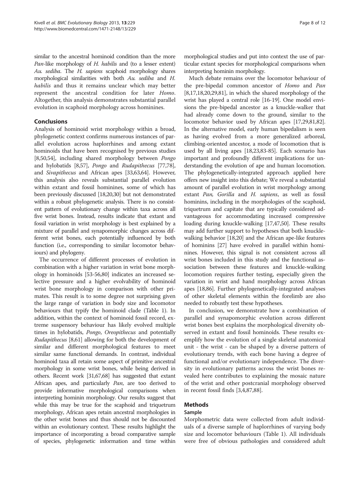similar to the ancestral hominoid condition than the more Pan-like morphology of H. habilis and (to a lesser extent) Au. sediba. The H. sapiens scaphoid morphology shares morphological similarities with both Au. sediba and H. habilis and thus it remains unclear which may better represent the ancestral condition for later Homo. Altogether, this analysis demonstrates substantial parallel evolution in scaphoid morphology across hominines.

#### Conclusions

Analysis of hominoid wrist morphology within a broad, phylogenetic context confirms numerous instances of parallel evolution across haplorrhines and among extant hominoids that have been recognised by previous studies [[8,](#page-9-0)[50,54\]](#page-10-0), including shared morphology between Pongo and hylobatids [[8,](#page-9-0)[57](#page-10-0)], Pongo and Rudapithecus [\[77,78](#page-10-0)], and Sivapithecus and African apes [\[33,63,64](#page-10-0)]. However, this analysis also reveals substantial parallel evolution within extant and fossil hominines, some of which has been previously discussed [\[18,20,](#page-9-0)[30](#page-10-0)] but not demonstrated within a robust phylogenetic analysis. There is no consistent pattern of evolutionary change within taxa across all five wrist bones. Instead, results indicate that extant and fossil variation in wrist morphology is best explained by a mixture of parallel and synapomorphic changes across different wrist bones, each potentially influenced by both function (i.e., corresponding to similar locomotor behaviours) and phylogeny.

The occurrence of different processes of evolution in combination with a higher variation in wrist bone morphology in hominoids [\[53-56](#page-10-0)[,80\]](#page-11-0) indicates an increased selective pressure and a higher evolvability of hominoid wrist bone morphology in comparison with other primates. This result is to some degree not surprising given the large range of variation in body size and locomotor behaviours that typify the hominoid clade (Table [1](#page-2-0)). In addition, within the context of hominoid fossil record, extreme suspensory behaviour has likely evolved multiple times in hylobatids, Pongo, Oreopithecus and potentially Rudapithecus [[8,](#page-9-0)[61](#page-10-0)] allowing for both the development of similar and different morphological features to meet similar same functional demands. In contrast, individual hominoid taxa all retain some aspect of primitive ancestral morphology in some wrist bones, while being derived in others. Recent work [\[31,67,68\]](#page-10-0) has suggested that extant African apes, and particularly Pan, are too derived to provide informative morphological comparisons when interpreting hominin morphology. Our results suggest that while this may be true for the scaphoid and triquetrum morphology, African apes retain ancestral morphologies in the other wrist bones and thus should not be discounted within an evolutionary context. These results highlight the importance of incorporating a broad comparative sample of species, phylogenetic information and time within

morphological studies and put into context the use of particular extant species for morphological comparisons when interpreting hominin morphology.

Much debate remains over the locomotor behaviour of the pre-bipedal common ancestor of Homo and Pan  $[8,17,18,20,29,81]$  $[8,17,18,20,29,81]$  $[8,17,18,20,29,81]$  $[8,17,18,20,29,81]$  $[8,17,18,20,29,81]$ , in which the shared morphology of the wrist has played a central role [[16](#page-9-0)-[19](#page-9-0)]. One model envisions the pre-bipedal ancestor as a knuckle-walker that had already come down to the ground, similar to the locomotor behavior used by African apes [[17](#page-9-0)[,29](#page-10-0)[,81,82](#page-11-0)]. In the alternative model, early human bipedalism is seen as having evolved from a more generalized arboreal, climbing-oriented ancestor, a mode of locomotion that is used by all living apes [\[18](#page-9-0)[,23,](#page-10-0)[83](#page-11-0)-[85\]](#page-11-0). Each scenario has important and profoundly different implications for understanding the evolution of ape and human locomotion. The phylogenetically-integrated approach applied here offers new insight into this debate; We reveal a substantial amount of parallel evolution in wrist morphology among extant Pan, Gorilla and H. sapiens, as well as fossil hominins, including in the morphologies of the scaphoid, triquetrum and capitate that are typically considered advantageous for accommodating increased compressive loading during knuckle-walking [[17](#page-9-0)[,47,50\]](#page-10-0). These results may add further support to hypotheses that both knucklewalking behavior [\[18,20](#page-9-0)] and the African ape-like features of hominins [[27](#page-10-0)] have evolved in parallel within hominines. However, this signal is not consistent across all wrist bones included in this study and the functional association between these features and knuckle-walking locomotion requires further testing, especially given the variation in wrist and hand morphology across African apes [\[18](#page-9-0)[,86\]](#page-11-0). Further phylogenetically-integrated analyses of other skeletal elements within the forelimb are also needed to robustly test these hypotheses.

In conclusion, we demonstrate how a combination of parallel and synapomorphic evolution across different wrist bones best explains the morphological diversity observed in extant and fossil hominoids. These results exemplify how the evolution of a single skeletal anatomical unit - the wrist - can be shaped by a diverse pattern of evolutionary trends, with each bone having a degree of functional and/or evolutionary independence. The diversity in evolutionary patterns across the wrist bones revealed here contributes to explaining the mosaic nature of the wrist and other postcranial morphology observed in recent fossil finds [[3,4,](#page-9-0)[87,88\]](#page-11-0).

#### Methods

#### Sample

Morphometric data were collected from adult individuals of a diverse sample of haplorrhines of varying body size and locomotor behaviours (Table [1\)](#page-2-0). All individuals were free of obvious pathologies and considered adult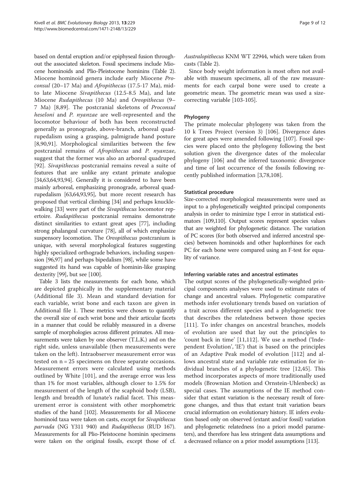<span id="page-9-0"></span>based on dental eruption and/or epiphyseal fusion throughout the associated skeleton. Fossil specimens include Miocene hominoids and Plio-Pleistocene hominins (Table [2](#page-3-0)). Miocene hominoid genera include early Miocene Proconsul (20–17 Ma) and Afropithecus (17.5-17 Ma), midto late Miocene Sivapithecus (12.5-8.5 Ma), and late Miocene Rudapithecus (10 Ma) and Oreopithecus (9– 7 Ma) [8,[89\]](#page-11-0). The postcranial skeletons of Proconsul heseloni and P. nyanzae are well-represented and the locomotor behaviour of both has been reconstructed generally as pronograde, above-branch, arboreal quadrupedalism using a grasping, palmigrade hand posture [8[,90,91](#page-11-0)]. Morphological similarities between the few postcranial remains of Afropithecus and P. nyanzae, suggest that the former was also an arboreal quadruped [[92\]](#page-11-0). Sivapithecus postcranial remains reveal a suite of features that are unlike any extant primate analogue [[34,63,64,](#page-10-0)[93](#page-11-0),[94](#page-11-0)]. Generally it is considered to have been mainly arboreal, emphasizing pronograde, arboreal quadrupedalism [\[63,64,](#page-10-0)[93,95\]](#page-11-0), but more recent research has proposed that vertical climbing [\[34\]](#page-10-0) and perhaps knuckle-walking [[33](#page-10-0)] were part of the *Sivapithecus* locomotor repertoire. Rudapithecus postcranial remains demonstrate distinct similarities to extant great apes [\[77\]](#page-10-0), including strong phalangeal curvature [\[78](#page-10-0)], all of which emphasize suspensory locomotion. The Oreopithecus postcranium is unique, with several morphological features suggesting highly specialized orthograde behaviors, including suspension [\[96,97](#page-11-0)] and perhaps bipedalism [[98\]](#page-11-0), while some have suggested its hand was capable of hominin-like grasping dexterity [[99](#page-11-0)], but see [\[100\]](#page-11-0).

Table [3](#page-6-0) lists the measurements for each bone, which are depicted graphically in the supplementary material (Additional file 3). Mean and standard deviation for each variable, wrist bone and each taxon are given in Additional file 1. These metrics were chosen to quantify the overall size of each wrist bone and their articular facets in a manner that could be reliably measured in a diverse sample of morphologies across different primates. All measurements were taken by one observer (T.L.K.) and on the right side, unless unavailable (then measurements were taken on the left). Intraobserver measurement error was tested on  $n = 25$  specimens on three separate occasions. Measurement errors were calculated using methods outlined by White [[101\]](#page-11-0), and the average error was less than 1% for most variables, although closer to 1.5% for measurement of the length of the scaphoid body (LSB), length and breadth of lunate's radial facet. This measurement error is consistent with other morphometric studies of the hand [\[102\]](#page-11-0). Measurements for all Miocene hominoid taxa were taken on casts, except for *Sivapithecus* parvada (NG Y311 940) and Rudapithecus (RUD 167). Measurements for all Plio-Pleistocene hominin specimens were taken on the original fossils, except those of cf. Australopithecus KNM WT 22944, which were taken from casts (Table [2](#page-3-0)).

Since body weight information is most often not available with museum specimens, all of the raw measurements for each carpal bone were used to create a geometric mean. The geometric mean was used a sizecorrecting variable [\[103-105](#page-11-0)].

#### Phylogeny

The primate molecular phylogeny was taken from the 10 k Trees Project (version 3) [[106](#page-11-0)]. Divergence dates for great apes were amended following [[107\]](#page-11-0). Fossil species were placed onto the phylogeny following the best solution given the divergence dates of the molecular phylogeny [\[106](#page-11-0)] and the inferred taxonomic divergence and time of last occurrence of the fossils following recently published information [3[,78,](#page-10-0)[108\]](#page-11-0).

#### Statistical procedure

Size-corrected morphological measurements were used as input to a phylogenetically weighted principal components analysis in order to minimize type I error in statistical estimators [[109,110\]](#page-11-0). Output scores represent species values that are weighted for phylogenetic distance. The variation of PC scores (for both observed and inferred ancestral species) between hominoids and other haplorrhines for each PC for each bone were compared using an F-test for equality of variance.

#### Inferring variable rates and ancestral estimates

The output scores of the phylogenetically-weighted principal components analyses were used to estimate rates of change and ancestral values. Phylogenetic comparative methods infer evolutionary trends based on variation of a trait across different species and a phylogenetic tree that describes the relatedness between those species [[111\]](#page-11-0). To infer changes on ancestral branches, models of evolution are used that lay out the principles to 'count back in time' [11,[112\]](#page-11-0). We use a method ('Independent Evolution', 'IE') that is based on the principles of an Adaptive Peak model of evolution [[112\]](#page-11-0) and allows ancestral state and variable rate estimation for individual branches of a phylogenetic tree [12,[45](#page-10-0)]. This method incorporates aspects of more traditionally used models (Brownian Motion and Ornstein-Uhlenbeck) as special cases. The assumptions of the IE method consider that extant variation is the necessary result of foregone changes, and thus that extant trait variation bears crucial information on evolutionary history. IE infers evolution based only on observed (extant and/or fossil) variation and phylogenetic relatedness (no a priori model parameters), and therefore has less stringent data assumptions and a decreased reliance on a prior model assumptions [\[113\]](#page-11-0).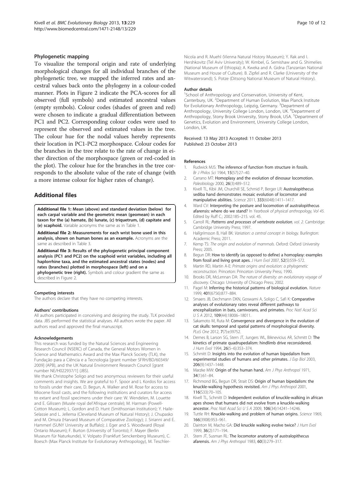#### <span id="page-10-0"></span>Phylogenetic mapping

To visualize the temporal origin and rate of underlying morphological changes for all individual branches of the phylogenetic tree, we mapped the inferred rates and ancestral values back onto the phylogeny in a colour-coded manner. Plots in Figure [2](#page-5-0) indicate the PCA-scores for all observed (full symbols) and estimated ancestral values (empty symbols). Colour codes (shades of green and red) were chosen to indicate a gradual differentiation between PC1 and PC2. Corresponding colour codes were used to represent the observed and estimated values in the tree. The colour hue for the nodal values hereby represents their location in PC1-PC2 morphospace. Colour codes for the branches in the tree relate to the rate of change in either direction of the morphospace (green or red-coded in the plot). The colour hue for the branches in the tree corresponds to the absolute value of the rate of change (with a more intense colour for higher rates of change).

#### Additional files

[Additional file 1:](http://www.biomedcentral.com/content/supplementary/1471-2148-13-229-S1.docx) Mean (above) and standard deviation (below) for each carpal variable and the geometric mean (geomean) in each taxon for the (a) hamate, (b) lunate, (c) triquetrum, (d) capitate and (e) scaphoid. Variable acronyms the same as in Table [1.](#page-2-0)

[Additional file 2:](http://www.biomedcentral.com/content/supplementary/1471-2148-13-229-S2.pdf) Measurements for each wrist bone used in this analysis, shown on human bones as an example. Acronyms are the same as described in Table [3](#page-6-0).

[Additional file 3:](http://www.biomedcentral.com/content/supplementary/1471-2148-13-229-S3.pdf) Results of the phylogenetic principal component analysis (PC1 and PC2) on the scaphoid wrist variables, including all haplorrhine taxa, and the estimated ancestral states (nodes) and rates (branches) plotted in morphospace (left) and on a

phylogenetic tree (right). Symbols and colour gradient the same as described in Figure [2.](#page-5-0)

#### Competing interests

The authors declare that they have no competing interests.

#### Authors' contributions

All authors participated in conceiving and designing the study. TLK provided data. JBS performed the statistical analyses. All authors wrote the paper. All authors read and approved the final manuscript.

#### Acknowledgements

This research was funded by the Natural Sciences and Engineering Research Council (NSERC) of Canada, the General Motors Women in Science and Mathematics Award and the Max Planck Society (TLK), the Fundação para a Ciência e a Tecnologia [grant number SFRH/BD/60349/ 2009] (APB), and the UK Natural Environment Research Council [grant number NE/H022937/1] (JBS).

We thank Christophe Soligo and two anonymous reviewers for their useful comments and insights. We are grateful to F. Spoor and L Kordos for access to fossils under their care, D. Begun, A. Walker and M. Rose for access to Miocene fossil casts, and the following institutions and curators for access to extant and fossil specimens under their care: W. Wendelen, M. Louette and E. Gilissen (Musée royal del'Afrique centrale); M. Harman (Powell-Cotton Museum); L. Gordon and D. Hunt (Smithsonian Institution); Y. Haile-Selassie and L. Jellema (Cleveland Museum of Natural History); J. Chupasko and M. Omura (Harvard Museum of Comparative Zoology); J. Sirianni and E. Hammerl (SUNY University at Buffalo); J. Eger and S. Woodward (Royal Ontario Museum); F. Burton (University of Toronto); F. Mayer (Berlin Museum für Naturkunde), V. Volpato (Frankfurt Senckenberg Museum), C. Boesch (Max Planck Institute for Evolutionary Anthropology), M. Teschler-

Nicola and R. Muehl (Vienna Natural History Museum); Y. Rak and I. Hershkovitz (Tel Aviv University); W. Kimbel, G. Semishaw and G. Shimelies (National Museum of Ethiopia); A. Kweka and A. Gidna (Tanzanian National Museum and House of Culture). B. Zipfel and R. Clarke (University of the Witwatersrand); S. Potze (Ditsong National Museum of Natural History).

#### Author details

<sup>1</sup>School of Anthropology and Conservation, University of Kent, Canterbury, UK. <sup>2</sup>Department of Human Evolution, Max Planck Institute for Evolutionary Anthropology, Leipzig, Germany. <sup>3</sup>Department of Anthropology, University College London, London, UK. <sup>4</sup>Department of Anthropology, Stony Brook University, Stony Brook, USA. <sup>5</sup>Department of Genetics, Evolution and Environment, University College London, London, UK.

#### Received: 13 May 2013 Accepted: 11 October 2013 Published: 23 October 2013

#### References

- 1. Rudwick MJS: The inference of function from structure in fossils. Br J Philos Sci 1964, 15(57):27–40.
- 2. Carrano MT: Homoplasy and the evolution of dinosaur locomotion. Paleobiology 2000, 26(3):489–512.
- 3. Kivell TL, Kibii JM, Churchill SE, Schmid P, Berger LR: Australopithecus sediba hand demonstrates mosaic evolution of locomotor and manipulative abilities. Science 2011, 333(6048):1411–1417.
- 4. Ward CV: Interpreting the posture and locomotion of australopithecus afarensis: where do we stand? In Yearbook of physical anthropology, Vol 45. Edited by Ruff C.; 2002:185–215. vol. 45.
- 5. Carroll RL: Patterns and processes of vertebrate evolution, vol. 2. Cambridge: Cambridge University Press; 1997.
- 6. Hallgrímsson B, Hall BK: Variation: a central concept in biology. Burlington: Academic Press; 2011.
- 7. Kemp TS: The origin and evolution of mammals. Oxford: Oxford University Press; 2005.
- 8. Begun DR: How to identify (as opposed to define) a homoplasy: examples from fossil and living great apes. J Hum Evol 2007, 52(5):559–572.
- 9. Martin RD, Martin A-E: Primate origins and evolution: a phylogenetic reconstruction. Princeton: Princeton University Press; 1990.
- 10. Brooks DR, McLennan DA: The nature of diversity: an evolutionary voyage of discovery. Chicago: University of Chicago Press; 2002.
- 11. Pagel M: Inferring the historical patterns of biological evolution. Nature 1999, 401(6756):877–884.
- 12. Smaers JB, Dechmann DKN, Goswami A, Soligo C, Safi K: Comparative analyses of evolutionary rates reveal different pathways to encephalization in bats, carnivorans, and primates. Proc Natl Acad Sci USA 2012, 109(44):18006–18011.
- 13. Sakamoto M, Ruta M: Convergence and divergence in the evolution of cat skulls: temporal and spatial patterns of morphological diversity. PLoS One 2012, 7(7):e39752.
- 14. Demes B, Larson SG, Stern JT, Jungers WL, Biknevicius AR, Schmitt D: The kinetics of primate quadrupedalism: hindlimb drive reconsidered. J Hum Evol 1994, 26(5-6):353-374.
- 15. Schmitt D: Insights into the evolution of human bipedalism from experimental studies of humans and other primates. J Exp Biol 2003, 206(9):1437–1448.
- 16. Marzke MW: Origin of the human hand. Am J Phys Anthropol 1971, 34(1):61–84.
- 17. Richmond BG, Begun DR, Strait DS: Origin of human bipedalism: the knuckle-walking hypothesis revisited. Am J Phys Anthropol 2001, 116(S33):70–105.
- 18. Kivell TL, Schmitt D: Independent evolution of knuckle-walking in african apes shows that humans did not evolve from a knuckle-walking ancestor. Proc Natl Acad Sci U S A 2009, 106(34):14241–14246.
- 19. Tuttle RH: Knuckle-walking and problem of human origins. Science 1969, 166(3908):953–961.
- 20. Dainton M, Macho GA: Did knuckle walking evolve twice? J Hum Evol 1999, 36(2):171–194.
- 21. Stern JT, Susman RL: The locomotor anatomy of australopithecus afarensis. Am J Phys Anthropol 1983, 60(3):279–317.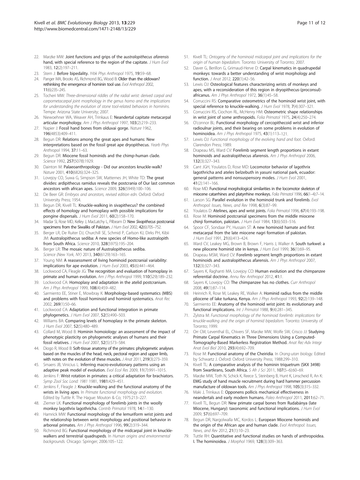- <span id="page-11-0"></span>22. Marzke MW: Joint functions and grips of the australopithecus afarensis hand, with special reference to the region of the capitate. J Hum Evol 1983, 12(2):197–211.
- 23. Stern J: Before bipedality. Yrbk Phys Anthropol 1975, 19:59-68.
- 24. Panger MA, Brooks AS, Richmond BG, Wood B: Older than the oldowan? rethinking the emergence of hominin tool use. Evol Anthropol 2002, 11(6):235–245.
- 25. Tocheri MW: Three-dimensional riddles of the radial wrist: derived carpal and carpometacarpal joint morphology in the genus homo and the implications for understanding the evolution of stone tool-related behaviors in hominins. Tempe: Arizona State University; 2007.
- 26. Niewoehner WA, Weaver AH, Trinkaus E: Neandertal capitate metacarpal articular morphology. Am J Phys Anthropol 1997, 103(2):219–233.
- 27. Napier J: Fossil hand bones from olduvai gorge. Nature 1962, 196(4853):409–411.
- 28. Begun DR: Relations among the great apes and humans: New interpretations based on the fossil great ape dryopithecus. Yearb Phys Anthropol 1994, 37:11–63.
- 29. Begun DR: Miocene fossil hominids and the chimp-human clade. Science 1992, 257(5078):1929.
- 30. Dainton M: Palaeoanthropology Did our ancestors knuckle-walk? Nature 2001, 410(6826):324–325.
- 31. Lovejov CO, Suwa G, Simpson SW, Matternes JH, White TD: The great divides: ardipithecus ramidus reveals the postcrania of Our last common ancestors with african apes. Science 2009, 326(5949):100–106.
- 32. De Beer GR: Embryos and ancestors, revised edition edn. Oxford: Oxford University Press; 1954.
- 33. Begun DR, Kivell TL: Knuckle-walking in sivapithecus? the combined effects of homology and homoplasy with possible implications for pongine dispersals. J Hum Evol 2011, 60(2):158–170.
- 34. Madar SI, Rose MD, Kelley J, MacLatchy L, Pilbeam D: New Sivapithecus postcranial specimens from the Siwaliks of Pakistan. J Hum Evol 2002, 42(6):705-752.
- 35. Berger LR, De Ruiter DJ, Churchill SE, Schmid P, Carlson KJ, Dirks PH, Kibii JM: Australopithecus sediba: A new species of Homo-like australopith from South Africa. Science 2010, 328(5975):195–204.
- 36. Berger LR: The mosaic nature of Australopithecus sediba. Science (New York, NY) 2013, 340(6129):163–165.
- 37. Young NM: A reassessment of living hominoid postcranial variability: implications for ape evolution. J Hum Evol 2003, 45(6):441-464.
- 38. Lockwood CA, Fleagle JG: The recognition and evaluation of homoplasy in primate and human evolution. Am J Phys Anthropol 1999, 110(S29):189-232.
- 39. Lockwood CA: Homoplasy and adaptation in the atelid postcranium. Am J Phys Anthropol 1999, 108(4):459-482.
- 40. Sarmiento EE, Stiner E, Mowbray K: Morphology-based systematics (MBS) and problems with fossil hominoid and hominid systematics. Anat Rec 2002, 269(1):50–66.
- 41. Lockwood CA: Adaptation and functional integration in primate phylogenetics. J Hum Evol 2007, 52(5):490–503.
- 42. Williams BA: Comparing levels of homoplasy in the primate skeleton. J Hum Evol 2007, 52(5):480–489.
- 43. Collard M, Wood B: Hominin homoiology: an assessment of the impact of phenotypic plasticity on phylogenetic analyses of humans and their fossil relatives. J Hum Evol 2007, 52(5):573–584.
- 44. Diogo R, Wood B: Soft-tissue anatomy of the primates: phylogenetic analyses based on the muscles of the head, neck, pectoral region and upper limb, with notes on the evolution of these muscles. J Anat 2011, 219(3):273–359.
- 45. Smaers JB, Vinicius L: Inferring macro-evolutionary patterns using an adaptive peak model of evolution. Evol Ecol Res 2009, 11(7):991–1015.
- 46. Jenkins F: Wrist rotation in primates: a critical adaptation for brachiators. Symp Zool Soc Lond: 1981 1981, 1981:429–451.
- 47. Jenkins F, Fleagle J: Knuckle-walking and the functional anatomy of the wrists in living apes. In Primate functional morphology and evolution. Edited by Tuttle R. The Hague: Mouton & Co; 1975:213–227.
- 48. Ziemer LK: Functional morphology of forelimb joints in the woolly monkey lagothrix lagothricha. Contrib Primatol 1978, 14:1-130.
- 49. Hamrick MW: Functional morphology of the lemuriform wrist joints and the relationship between wrist morphology and positional behavior in arboreal primates. Am J Phys Anthropol 1996, 99(2):319-344
- 50. Richmond BG: Functional morphology of the midcarpal joint in knucklewalkers and terrestrial quadrupeds. In Human origins and environmental backgrounds. Chicago: Springer; 2006:105–122.
- 51. Kivell TL: Ontogeny of the hominoid midcarpal joint and implications for the origin of human bipedalism. Toronto: University of Toronto; 2007.
- 52. Daver G, Berillon G, Grimaud-Herve D: Carpal kinematics in quadrupedal monkeys: towards a better understanding of wrist morphology and function. J Anat 2012, 220(1):42–56.
- 53. Lewis OJ: Osteological features characterizing wrists of monkeys and apes, with a reconsideration of this region in dryopithecus-(proconsul) africanus. Am J Phys Anthropol 1972, 36(1):45-58.
- 54. Corruccini RS: Comparative osteometrics of the hominoid wrist joint, with special reference to knuckle-walking. J Hum Evol 1978, 7(4):307-321.
- 55. Corruccini RS, Ciochon RL, McHenry HM: Osteometric shape relationships in wrist joint of some anthropoids. Folia Primatol 1975, 24(4):250-274.
- 56. O'connor BL: Functional morphology of cercopithecoid wrist and inferior radioulnar joints, and their bearing on some problems in evolution of hominoidea. Am J Phys Anthropol 1975, 43(1):113-121.
- 57. Lewis OJ: Functional morphology of the evolving hand and foot. Oxford: Clarendon Press; 1989.
- Drapeau MS, Ward CV: Forelimb segment length proportions in extant hominoids and australopithecus afarensis. Am J Phys Anthropol 2006, 132(3):327–343.
- 59. Cant JGH, Youlatos D, Rose MD: Locomotor behavior of lagothrix lagothricha and ateles belzebuth in yasuni national park, ecuador: general patterns and nonsuspensory modes. J Hum Evol 2001, 41(2):141–166.
- 60. Rose MD: Functional morphological similarities in the locomotor skeleton of miocene catarrhines and platyrrhine monkeys. Folia Primatol 1996, 66(1-4):7-14.
- 61. Larson SG: Parallel evolution in the hominoid trunk and forelimb. Evol Anthropol: Issues, News, and Rev 1998, 6(3):87–99.
- 62. Youlatos D: Atelines, apes and wrist joints. Folia Primatol 1996, 67(4):193–198.
- 63. Rose M: Hominoid postcranial specimens from the middle miocene chinji formation, pakistan. J Hum Evol 1984, 13(6):503-516.
- 64. Spoor CF, Sondaar PY, Hussain ST: A new hominoid hamate and first metacarpal from the late miocene nagri formation of pakistan. J Hum Evol 1991, 21(6):413–424.
- 65. Ward CV, Leakey MG, Brown B, Brown F, Harris J, Walker A: South turkwel: a new pliocene hominid site in kenya. J Hum Evol 1999, 36(1):69-95.
- 66. Drapeau MSM, Ward CV: Forelimb segment length proportions in extant hominoids and australopithecus afarensis. Am J Phys Anthropol 2007, 132(3):327–343.
- 67. Sayers K, Raghanti MA, Lovejoy CO: Human evolution and the chimpanzee referential doctrine. Annu Rev Anthropol 2012, 41:1.
- 68. Sayers K, Lovejoy CO: The chimpanzee has no clothes. Curr Anthropol 2008, 49(1):87–114.
- 69. Heinrich R, Rose M, Leakey RE, Walker A: Hominid radius from the middle pliocene of lake turkana, Kenya. Am J Phys Anthropol 1993, 92(2):139-148.
- 70. Sarmiento EE: Anatomy of the hominoid wrist joint: its evolutionary and functional implications. Int J Primatol 1988, 9(4):281–345.
- 71. Zylstra M: Functional morphology of the hominoid forelimb: implications for knuckle-walking and the origin of hominid bipedalism. Toronto: University of Toronto; 1999.
- 72. Orr CM, Leventhal EL, Chivers SF, Marzke MW, Wolfe SW, Crisco JJ: Studying Primate Carpal Kinematics in Three Dimensions Using a Computed-Tomography-Based Markerless Registration Method. Anat Rec-Adv Integr Anat Evol Biol 2010, 293(4):692-709.
- 73. Rose M: Functional anatomy of the Cheiridia. In Orang-utan biology. Edited by Schwartz J. Oxford: Oxford University Press; 1988:299–310.
- 74. Kivell TL: A comparative analysis of the hominin triquetrum (SKX 3498) from Swartkrans, South Africa. S Afr J Sci 2011, 107(5-6):60-69.
- 75. Marzke MW, Toth N, Schick K, Reece S, Steinberg B, Hunt K, Linscheid R, An K: EMG study of hand muscle recruitment during hard hammer percussion manufacture of oldowan tools. Am J Phys Anthropol 1998, 105(3):315-332.
- 76. Maki J, Trinkaus E: Opponens pollicis mechanical effectiveness in neandertals and early modern humans. Paleo Anthropol 2011, 2011:62–71.
- 77. Kivell TL, Begun DR: New primate carpal bones from Rudabánya (late Miocene, Hungary): taxonomic and functional implications. J Hum Evol 2009, 57(6):697–709.
- 78. Begun DR, Nargolwalla MC, Kordos L: European Miocene hominids and the origin of the African ape and human clade. Evol Anthropol: Issues, News, and Rev 2012, 21(1):10–23.
- 79. Tuttle RH: Quantitative and functional studies on hands of anthropoidea. I. The hominoidea. J Morphol 1969, 128(3):309–363.